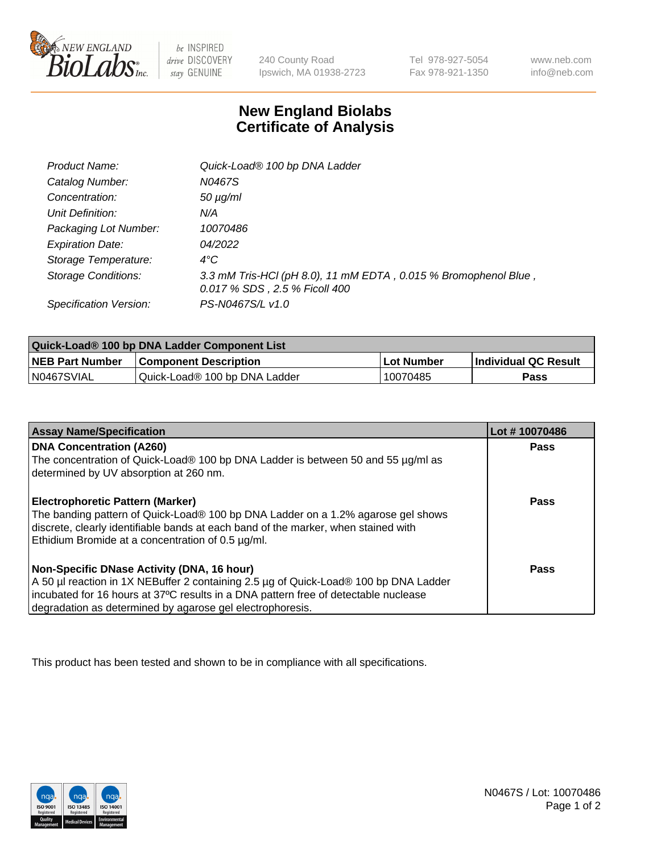

 $be$  INSPIRED drive DISCOVERY stay GENUINE

240 County Road Ipswich, MA 01938-2723 Tel 978-927-5054 Fax 978-921-1350 www.neb.com info@neb.com

## **New England Biolabs Certificate of Analysis**

| Product Name:              | Quick-Load® 100 bp DNA Ladder                                                                    |
|----------------------------|--------------------------------------------------------------------------------------------------|
| Catalog Number:            | N0467S                                                                                           |
| Concentration:             | $50 \mu g/ml$                                                                                    |
| Unit Definition:           | N/A                                                                                              |
| Packaging Lot Number:      | 10070486                                                                                         |
| <b>Expiration Date:</b>    | 04/2022                                                                                          |
| Storage Temperature:       | $4^{\circ}$ C                                                                                    |
| <b>Storage Conditions:</b> | 3.3 mM Tris-HCl (pH 8.0), 11 mM EDTA, 0.015 % Bromophenol Blue,<br>0.017 % SDS, 2.5 % Ficoll 400 |
| Specification Version:     | PS-N0467S/L v1.0                                                                                 |

| Quick-Load® 100 bp DNA Ladder Component List |                               |            |                             |  |
|----------------------------------------------|-------------------------------|------------|-----------------------------|--|
| <b>NEB Part Number</b>                       | <b>Component Description</b>  | Lot Number | <b>Individual QC Result</b> |  |
| N0467SVIAL                                   | Quick-Load® 100 bp DNA Ladder | 10070485   | <b>Pass</b>                 |  |

| <b>Assay Name/Specification</b>                                                                                                                                                                                                                                                        | Lot #10070486 |
|----------------------------------------------------------------------------------------------------------------------------------------------------------------------------------------------------------------------------------------------------------------------------------------|---------------|
| <b>DNA Concentration (A260)</b><br>The concentration of Quick-Load® 100 bp DNA Ladder is between 50 and 55 µg/ml as                                                                                                                                                                    | <b>Pass</b>   |
| determined by UV absorption at 260 nm.                                                                                                                                                                                                                                                 | Pass          |
| Electrophoretic Pattern (Marker)<br>The banding pattern of Quick-Load® 100 bp DNA Ladder on a 1.2% agarose gel shows<br>discrete, clearly identifiable bands at each band of the marker, when stained with<br>Ethidium Bromide at a concentration of 0.5 µg/ml.                        |               |
| Non-Specific DNase Activity (DNA, 16 hour)<br>A 50 µl reaction in 1X NEBuffer 2 containing 2.5 µg of Quick-Load® 100 bp DNA Ladder<br>incubated for 16 hours at 37°C results in a DNA pattern free of detectable nuclease<br>degradation as determined by agarose gel electrophoresis. | Pass          |

This product has been tested and shown to be in compliance with all specifications.